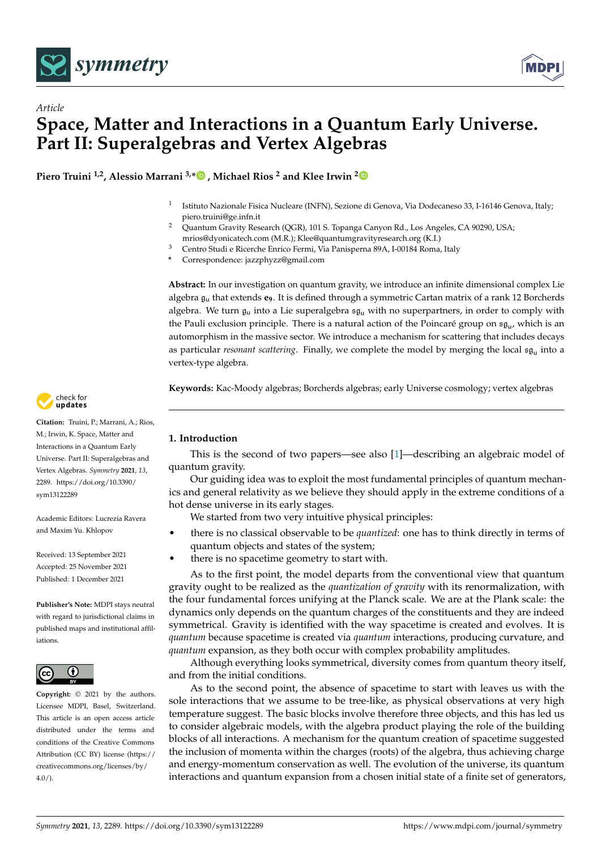

*Article*



# **Space, Matter and Interactions in a Quantum Early Universe. Part II: Superalgebras and Vertex Algebras**

**Piero Truini 1,2, Alessio Marrani 3,[\\*](https://orcid.org/0000-0002-7597-1050) , Michael Rios <sup>2</sup> and Klee Irwin [2](https://orcid.org/0000-0003-2938-3941)**

- 1 Istituto Nazionale Fisica Nucleare (INFN), Sezione di Genova, Via Dodecaneso 33, I-16146 Genova, Italy; piero.truini@ge.infn.it
- <sup>2</sup> Quantum Gravity Research (QGR), 101 S. Topanga Canyon Rd., Los Angeles, CA 90290, USA; mrios@dyonicatech.com (M.R.); Klee@quantumgravityresearch.org (K.I.)
- <sup>3</sup> Centro Studi e Ricerche Enrico Fermi, Via Panisperna 89A, I-00184 Roma, Italy
- **\*** Correspondence: jazzphyzz@gmail.com

**Abstract:** In our investigation on quantum gravity, we introduce an infinite dimensional complex Lie algebra g<sup>u</sup> that extends **e9**. It is defined through a symmetric Cartan matrix of a rank 12 Borcherds algebra. We turn  $\mathfrak{g}_u$  into a Lie superalgebra  $\mathfrak{sg}_u$  with no superpartners, in order to comply with the Pauli exclusion principle. There is a natural action of the Poincaré group on  $\mathfrak{sg}_u$ , which is an automorphism in the massive sector. We introduce a mechanism for scattering that includes decays as particular *resonant scattering*. Finally, we complete the model by merging the local sq<sub>u</sub> into a vertex-type algebra.

**Keywords:** Kac-Moody algebras; Borcherds algebras; early Universe cosmology; vertex algebras



**Citation:** Truini, P.; Marrani, A.; Rios, M.; Irwin, K. Space, Matter and Interactions in a Quantum Early Universe. Part II: Superalgebras and Vertex Algebras. *Symmetry* **2021**, *13*, 2289. [https://doi.org/10.3390/](https://doi.org/10.3390/sym13122289) [sym13122289](https://doi.org/10.3390/sym13122289)

Academic Editors: Lucrezia Ravera and Maxim Yu. Khlopov

Received: 13 September 2021 Accepted: 25 November 2021 Published: 1 December 2021

**Publisher's Note:** MDPI stays neutral with regard to jurisdictional claims in published maps and institutional affiliations.



**Copyright:** © 2021 by the authors. Licensee MDPI, Basel, Switzerland. This article is an open access article distributed under the terms and conditions of the Creative Commons Attribution (CC BY) license (https:/[/](https://creativecommons.org/licenses/by/4.0/) [creativecommons.org/licenses/by/](https://creativecommons.org/licenses/by/4.0/)  $4.0/$ ).

# **1. Introduction**

This is the second of two papers—see also [\[1\]](#page-13-0)—describing an algebraic model of quantum gravity.

Our guiding idea was to exploit the most fundamental principles of quantum mechanics and general relativity as we believe they should apply in the extreme conditions of a hot dense universe in its early stages.

We started from two very intuitive physical principles:

- there is no classical observable to be *quantized*: one has to think directly in terms of quantum objects and states of the system;
- there is no spacetime geometry to start with.

As to the first point, the model departs from the conventional view that quantum gravity ought to be realized as the *quantization of gravity* with its renormalization, with the four fundamental forces unifying at the Planck scale. We are at the Plank scale: the dynamics only depends on the quantum charges of the constituents and they are indeed symmetrical. Gravity is identified with the way spacetime is created and evolves. It is *quantum* because spacetime is created via *quantum* interactions, producing curvature, and *quantum* expansion, as they both occur with complex probability amplitudes.

Although everything looks symmetrical, diversity comes from quantum theory itself, and from the initial conditions.

As to the second point, the absence of spacetime to start with leaves us with the sole interactions that we assume to be tree-like, as physical observations at very high temperature suggest. The basic blocks involve therefore three objects, and this has led us to consider algebraic models, with the algebra product playing the role of the building blocks of all interactions. A mechanism for the quantum creation of spacetime suggested the inclusion of momenta within the charges (roots) of the algebra, thus achieving charge and energy-momentum conservation as well. The evolution of the universe, its quantum interactions and quantum expansion from a chosen initial state of a finite set of generators,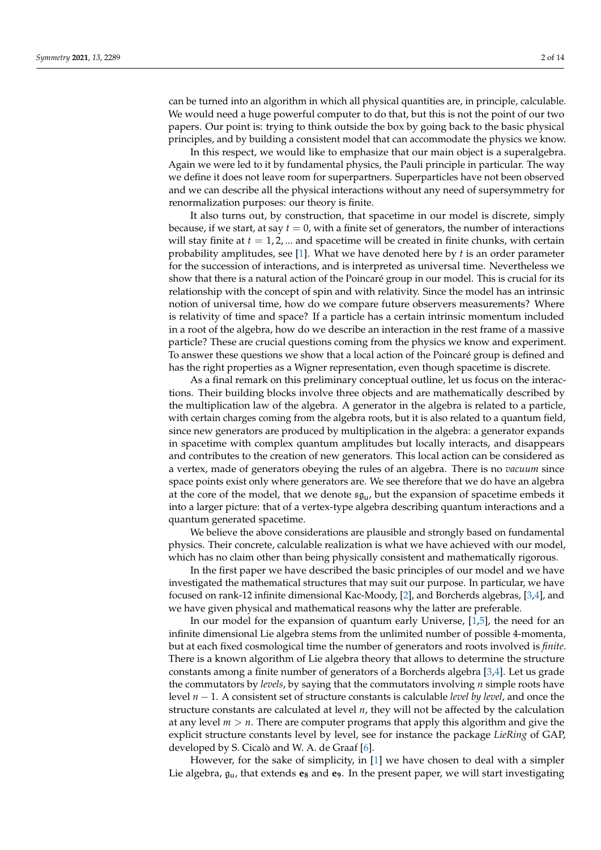can be turned into an algorithm in which all physical quantities are, in principle, calculable. We would need a huge powerful computer to do that, but this is not the point of our two papers. Our point is: trying to think outside the box by going back to the basic physical principles, and by building a consistent model that can accommodate the physics we know.

In this respect, we would like to emphasize that our main object is a superalgebra. Again we were led to it by fundamental physics, the Pauli principle in particular. The way we define it does not leave room for superpartners. Superparticles have not been observed and we can describe all the physical interactions without any need of supersymmetry for renormalization purposes: our theory is finite.

It also turns out, by construction, that spacetime in our model is discrete, simply because, if we start, at say  $t = 0$ , with a finite set of generators, the number of interactions will stay finite at  $t = 1, 2, \dots$  and spacetime will be created in finite chunks, with certain probability amplitudes, see [\[1\]](#page-13-0). What we have denoted here by *t* is an order parameter for the succession of interactions, and is interpreted as universal time. Nevertheless we show that there is a natural action of the Poincaré group in our model. This is crucial for its relationship with the concept of spin and with relativity. Since the model has an intrinsic notion of universal time, how do we compare future observers measurements? Where is relativity of time and space? If a particle has a certain intrinsic momentum included in a root of the algebra, how do we describe an interaction in the rest frame of a massive particle? These are crucial questions coming from the physics we know and experiment. To answer these questions we show that a local action of the Poincaré group is defined and has the right properties as a Wigner representation, even though spacetime is discrete.

As a final remark on this preliminary conceptual outline, let us focus on the interactions. Their building blocks involve three objects and are mathematically described by the multiplication law of the algebra. A generator in the algebra is related to a particle, with certain charges coming from the algebra roots, but it is also related to a quantum field, since new generators are produced by multiplication in the algebra: a generator expands in spacetime with complex quantum amplitudes but locally interacts, and disappears and contributes to the creation of new generators. This local action can be considered as a vertex, made of generators obeying the rules of an algebra. There is no *vacuum* since space points exist only where generators are. We see therefore that we do have an algebra at the core of the model, that we denote  $\mathfrak{sg}_u$ , but the expansion of spacetime embeds it into a larger picture: that of a vertex-type algebra describing quantum interactions and a quantum generated spacetime.

We believe the above considerations are plausible and strongly based on fundamental physics. Their concrete, calculable realization is what we have achieved with our model, which has no claim other than being physically consistent and mathematically rigorous.

In the first paper we have described the basic principles of our model and we have investigated the mathematical structures that may suit our purpose. In particular, we have focused on rank-12 infinite dimensional Kac-Moody, [\[2\]](#page-13-1), and Borcherds algebras, [\[3,](#page-13-2)[4\]](#page-13-3), and we have given physical and mathematical reasons why the latter are preferable.

In our model for the expansion of quantum early Universe, [\[1,](#page-13-0)[5\]](#page-13-4), the need for an infinite dimensional Lie algebra stems from the unlimited number of possible 4-momenta, but at each fixed cosmological time the number of generators and roots involved is *finite*. There is a known algorithm of Lie algebra theory that allows to determine the structure constants among a finite number of generators of a Borcherds algebra [\[3](#page-13-2)[,4\]](#page-13-3). Let us grade the commutators by *levels*, by saying that the commutators involving *n* simple roots have level *n* − 1. A consistent set of structure constants is calculable *level by level*, and once the structure constants are calculated at level *n*, they will not be affected by the calculation at any level  $m > n$ . There are computer programs that apply this algorithm and give the explicit structure constants level by level, see for instance the package *LieRing* of GAP, developed by S. Cicalò and W. A. de Graaf [\[6\]](#page-13-5).

However, for the sake of simplicity, in [\[1\]](#page-13-0) we have chosen to deal with a simpler Lie algebra, gu, that extends **e<sup>8</sup>** and **e9**. In the present paper, we will start investigating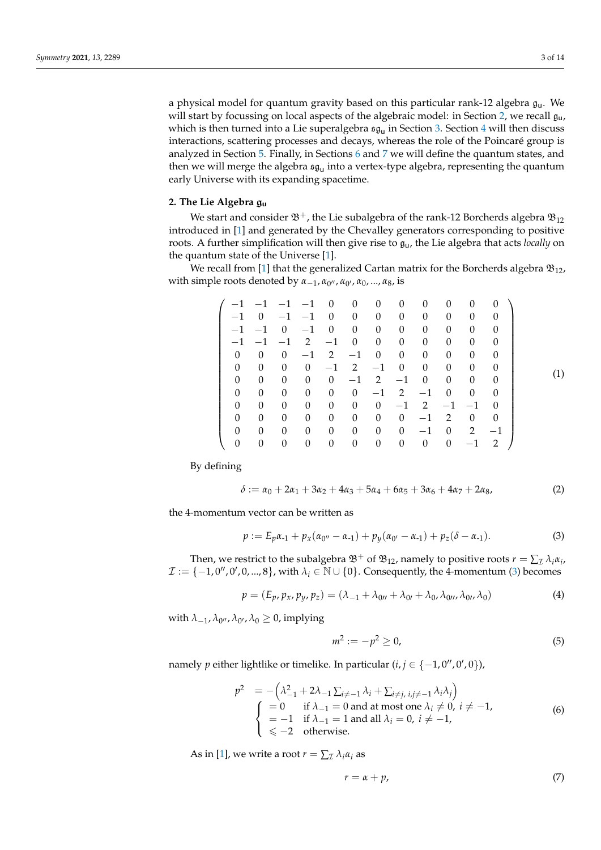a physical model for quantum gravity based on this particular rank-12 algebra  $g<sub>u</sub>$ . We will start by focussing on local aspects of the algebraic model: in Section [2,](#page-2-0) we recall  $\mathfrak{g}_{\mathsf{u}}$ , which is then turned into a Lie superalgebra  $\mathfrak{sg}_{\mathsf{u}}$  in Section  $3.$  Section  $4$  will then discuss interactions, scattering processes and decays, whereas the role of the Poincaré group is analyzed in Section [5.](#page-6-0) Finally, in Sections [6](#page-8-0) and [7](#page-8-1) we will define the quantum states, and then we will merge the algebra  $\mathfrak{sg}_{\mathsf{u}}$  into a vertex-type algebra, representing the quantum early Universe with its expanding spacetime.

#### <span id="page-2-0"></span>**2. The Lie Algebra** gu

We start and consider  $\mathfrak{B}^+$ , the Lie subalgebra of the rank-12 Borcherds algebra  $\mathfrak{B}_{12}$ introduced in [\[1\]](#page-13-0) and generated by the Chevalley generators corresponding to positive roots. A further simplification will then give rise to gu, the Lie algebra that acts *locally* on the quantum state of the Universe [\[1\]](#page-13-0).

We recall from [\[1\]](#page-13-0) that the generalized Cartan matrix for the Borcherds algebra  $\mathfrak{B}_{12}$ ,  $\alpha$  with simple roots denoted by  $α_{-1}$ ,  $α_{0}$ ,  $α_{0}$ ,  $α_{0}$ , ...,  $α_8$ , is

| $-1$     |                |          |          | $\theta$               | $\theta$ | $\theta$       | $\theta$       | $\theta$ | $\Omega$ | $\Omega$ | $\theta$ |  |
|----------|----------------|----------|----------|------------------------|----------|----------------|----------------|----------|----------|----------|----------|--|
| $-1$     | $\overline{0}$ |          | $-1$     | $\Omega$               | $\theta$ | $\theta$       | $\theta$       | $\theta$ | 0        | 0        |          |  |
| $-1$     | $-1$           | $\Omega$ | $-1$     | $\theta$               | $\theta$ | $\theta$       | $\theta$       | $\theta$ | 0        | 0        | $\theta$ |  |
| $-1$     | $-1$           | $-1$     | 2        | $-1$                   | $\theta$ | $\theta$       | $\theta$       | $\theta$ | 0        | 0        | 0        |  |
| $\Omega$ | $\theta$       | $\Omega$ | $-1$     | 2                      | $-1$     | $\theta$       | $\theta$       | $\theta$ | 0        | $\Omega$ | 0        |  |
| $\Omega$ | 0              | $\Omega$ | $\theta$ | $-1$                   | 2        | $-1$           | $\theta$       | $\Omega$ | $\Omega$ | $\Omega$ | 0        |  |
| $\Omega$ | 0              | $\theta$ | $\theta$ | $\theta$               | $-1$     | 2              | $-1$           | $\theta$ | $\Omega$ | $\Omega$ | $\theta$ |  |
| $\Omega$ | 0              | $\theta$ | $\theta$ | $\theta$               | $\theta$ | $-1$           | 2              | $-1$     | $\Omega$ | $\Omega$ | 0        |  |
| $\Omega$ | 0              | $\theta$ | $\theta$ | $\theta$               | $\theta$ | $\theta$       | $-1$           | 2        | $-1$     | $-1$     | $\Omega$ |  |
| 0        | $\Omega$       | 0        | $\theta$ | $\theta$               | $\theta$ | $\overline{0}$ | $\theta$       | $-1$     | 2        | $\Omega$ | 0        |  |
| $\Omega$ | 0              | 0        | $\theta$ | $\theta$               | $\theta$ | $\overline{0}$ | $\overline{0}$ | $-1$     | $\theta$ | 2        | $-1$     |  |
|          | 0              | 0        | 0        | 0                      | 0        | 0              | $\theta$       | 0        | $\Omega$ | $-1$     | 2        |  |
|          |                |          |          | $-1$ $-1$ $-1$<br>$-1$ |          |                |                |          |          |          |          |  |

By defining

$$
\delta := \alpha_0 + 2\alpha_1 + 3\alpha_2 + 4\alpha_3 + 5\alpha_4 + 6\alpha_5 + 3\alpha_6 + 4\alpha_7 + 2\alpha_8,\tag{2}
$$

the 4-momentum vector can be written as

<span id="page-2-1"></span>
$$
p := E_p \alpha_{-1} + p_x (\alpha_{0''} - \alpha_{-1}) + p_y (\alpha_{0'} - \alpha_{-1}) + p_z (\delta - \alpha_{-1}). \tag{3}
$$

Then, we restrict to the subalgebra  $\mathfrak{B}^+$  of  $\mathfrak{B}_{12}$ , namely to positive roots  $r = \sum_{\mathcal{I}} \lambda_i \alpha_i$ ,  $\mathcal{I} := \{-1, 0'', 0', 0, ..., 8\}$ , with  $\lambda_i \in \mathbb{N} \cup \{0\}$ . Consequently, the 4-momentum [\(3\)](#page-2-1) becomes

<span id="page-2-2"></span>
$$
p = (E_p, p_x, p_y, p_z) = (\lambda_{-1} + \lambda_{0} + \lambda_{0} + \lambda_0, \lambda_{0} + \lambda_0, \lambda_0)
$$
\n(4)

with  $\lambda_{-1}$ ,  $\lambda_{0''}$ ,  $\lambda_{0'}$ ,  $\lambda_0 \geq 0$ , implying

$$
m^2 := -p^2 \ge 0,\t\t(5)
$$

namely  $p$  either lightlike or timelike. In particular ( $i, j \in \{-1, 0'', 0', 0\}$ ),

$$
p^{2} = -\left(\lambda_{-1}^{2} + 2\lambda_{-1}\sum_{i \neq -1} \lambda_{i} + \sum_{i \neq j, i, j \neq -1} \lambda_{i} \lambda_{j}\right)
$$
  
\n
$$
\begin{cases}\n= 0 & \text{if } \lambda_{-1} = 0 \text{ and at most one } \lambda_{i} \neq 0, i \neq -1, \\
= -1 & \text{if } \lambda_{-1} = 1 \text{ and all } \lambda_{i} = 0, i \neq -1,\n\end{cases}
$$
\n(6)  
\n
$$
\leq -2 \text{ otherwise.}
$$

As in [\[1\]](#page-13-0), we write a root  $r = \sum_{\mathcal{I}} \lambda_i \alpha_i$  as

$$
r = \alpha + p,\tag{7}
$$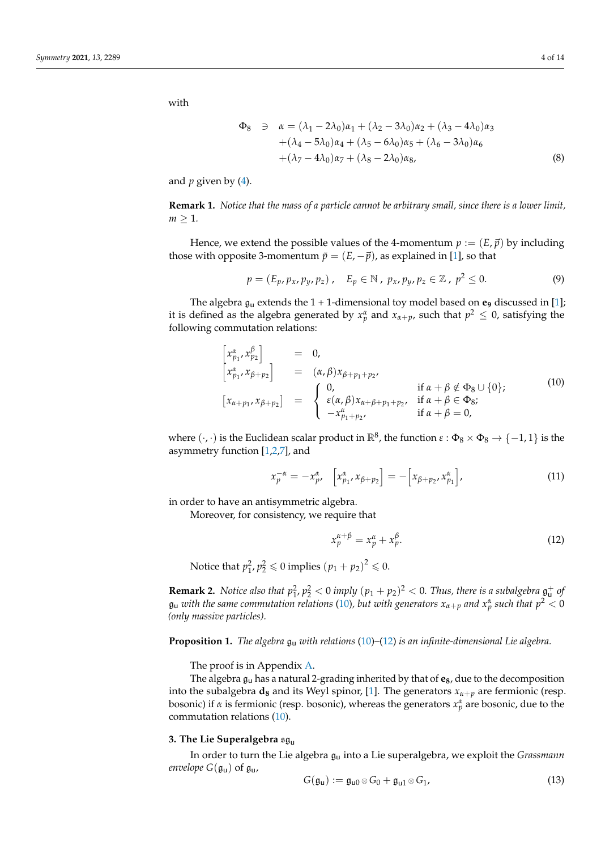with

$$
\Phi_8 \quad \ni \quad \alpha = (\lambda_1 - 2\lambda_0)\alpha_1 + (\lambda_2 - 3\lambda_0)\alpha_2 + (\lambda_3 - 4\lambda_0)\alpha_3 \n+ (\lambda_4 - 5\lambda_0)\alpha_4 + (\lambda_5 - 6\lambda_0)\alpha_5 + (\lambda_6 - 3\lambda_0)\alpha_6 \n+ (\lambda_7 - 4\lambda_0)\alpha_7 + (\lambda_8 - 2\lambda_0)\alpha_8,
$$
\n(8)

and  $p$  given by  $(4)$ .

**Remark 1.** *Notice that the mass of a particle cannot be arbitrary small, since there is a lower limit,*  $m > 1$ .

Hence, we extend the possible values of the 4-momentum  $p := (E, \vec{p})$  by including those with opposite 3-momentum  $\tilde{p} = (E, -\vec{p})$ , as explained in [\[1\]](#page-13-0), so that

$$
p = (E_p, p_x, p_y, p_z), \quad E_p \in \mathbb{N}, \ p_x, p_y, p_z \in \mathbb{Z}, \ p^2 \le 0.
$$
 (9)

The algebra  $g_u$  extends the  $1 + 1$ -dimensional toy model based on  $e_9$  discussed in [\[1\]](#page-13-0); it is defined as the algebra generated by  $x_p^{\alpha}$  and  $x_{\alpha+p}$ , such that  $p^2 \leq 0$ , satisfying the following commutation relations:

<span id="page-3-1"></span>
$$
\begin{aligned}\n\left[x_{p_1}^{\alpha}, x_{p_2}^{\beta}\right] &= 0, \\
\left[x_{p_1}^{\alpha}, x_{\beta+p_2}\right] &= (\alpha, \beta)x_{\beta+p_1+p_2}, \\
\left[x_{\alpha+p_1}, x_{\beta+p_2}\right] &= \begin{cases}\n0, & \text{if } \alpha + \beta \notin \Phi_8 \cup \{0\}; \\
\epsilon(\alpha, \beta)x_{\alpha+\beta+p_1+p_2}, & \text{if } \alpha + \beta \in \Phi_8; \\
-x_{p_1+p_2}^{\alpha}, & \text{if } \alpha + \beta = 0,\n\end{cases}\n\end{aligned} \tag{10}
$$

where  $(\cdot,\cdot)$  is the Euclidean scalar product in  $\mathbb{R}^8$ , the function  $\varepsilon$  :  $\Phi_8 \times \Phi_8 \to \{-1,1\}$  is the asymmetry function [\[1](#page-13-0)[,2](#page-13-1)[,7\]](#page-13-6), and

$$
x_p^{-\alpha} = -x_p^{\alpha}, \quad \left[x_{p_1}^{\alpha}, x_{\beta+p_2}\right] = -\left[x_{\beta+p_2}, x_{p_1}^{\alpha}\right], \tag{11}
$$

in order to have an antisymmetric algebra.

Moreover, for consistency, we require that

<span id="page-3-2"></span>
$$
x_p^{\alpha+\beta} = x_p^{\alpha} + x_p^{\beta}.
$$
 (12)

Notice that  $p_1^2$ ,  $p_2^2 \leq 0$  implies  $(p_1 + p_2)^2 \leq 0$ .

<span id="page-3-3"></span>**Remark 2.** *Notice also that*  $p_1^2$ ,  $p_2^2 < 0$  *imply*  $(p_1 + p_2)^2 < 0$ *. Thus, there is a subalgebra*  $\mathfrak{g}^+_u$  *of*  $\mathfrak{g}_\mathsf{u}$  *with the same commutation relations* [\(10\)](#page-3-1), but with generators  $x_{\alpha+p}$  and  $x_p^\alpha$  such that  $p^2 < 0$ *(only massive particles).*

<span id="page-3-4"></span>**Proposition 1.** *The algebra* gu *with relations* [\(10\)](#page-3-1)*–*[\(12\)](#page-3-2) *is an infinite-dimensional Lie algebra.*

The proof is in Appendix [A.](#page-11-0)

The algebra gu has a natural 2-grading inherited by that of **e8**, due to the decomposition into the subalgebra  $d_8$  and its Weyl spinor, [\[1\]](#page-13-0). The generators  $x_{\alpha+p}$  are fermionic (resp. bosonic) if *α* is fermionic (resp. bosonic), whereas the generators  $x_p^{\alpha}$  are bosonic, due to the commutation relations [\(10\)](#page-3-1).

# <span id="page-3-0"></span>**3. The Lie Superalgebra** sg<sup>u</sup>

In order to turn the Lie algebra gu into a Lie superalgebra, we exploit the *Grassmann envelope*  $G(\mathfrak{g}_{\mathfrak{u}})$  of  $\mathfrak{g}_{\mathfrak{u}}$ ,

$$
G(\mathfrak{g}_u) := \mathfrak{g}_{u0} \otimes G_0 + \mathfrak{g}_{u1} \otimes G_1, \qquad (13)
$$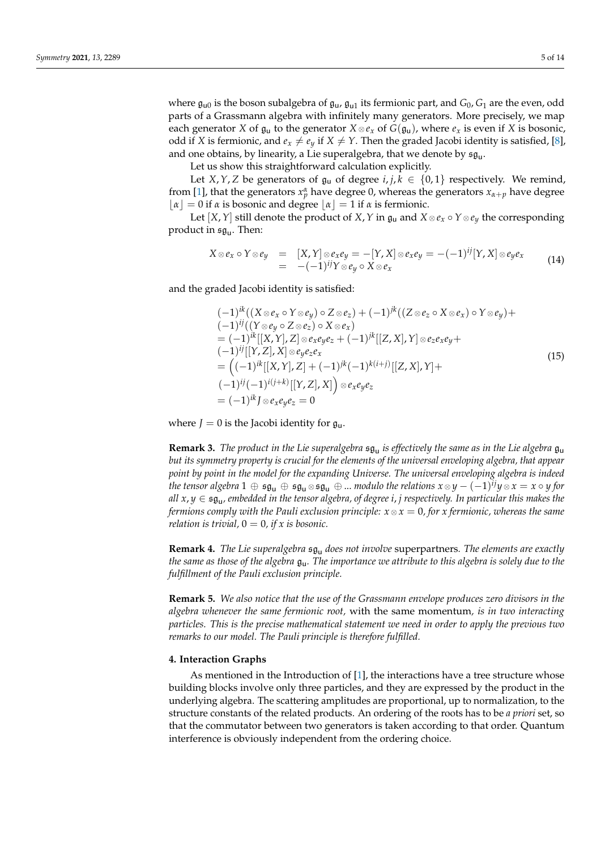where  $\mathfrak{g}_{\mathsf{u}0}$  is the boson subalgebra of  $\mathfrak{g}_{\mathsf{u}}$ ,  $\mathfrak{g}_{\mathsf{u}1}$  its fermionic part, and  $G_0$ ,  $G_1$  are the even, odd parts of a Grassmann algebra with infinitely many generators. More precisely, we map each generator *X* of  $\mathfrak{g}_\mathsf{u}$  to the generator  $X \otimes e_x$  of  $G(\mathfrak{g}_\mathsf{u})$ , where  $e_x$  is even if *X* is bosonic, odd if *X* is fermionic, and  $e_x \neq e_y$  if  $X \neq Y$ . Then the graded Jacobi identity is satisfied, [\[8\]](#page-13-7), and one obtains, by linearity, a Lie superalgebra, that we denote by  $\mathfrak{sg}_\mathsf{u}.$ 

Let us show this straightforward calculation explicitly.

Let *X*, *Y*, *Z* be generators of  $\mathfrak{g}_u$  of degree *i*, *j*,  $k \in \{0,1\}$  respectively. We remind, from [\[1\]](#page-13-0), that the generators  $x_p^{\alpha}$  have degree 0, whereas the generators  $x_{\alpha+p}$  have degree  $|α| = 0$  if *α* is bosonic and degree  $|α| = 1$  if *α* is fermionic.

Let  $[X, Y]$  still denote the product of  $X, Y$  in  $\mathfrak{g}_u$  and  $X \otimes e_x \circ Y \otimes e_y$  the corresponding product in  $\mathfrak{sg}_\mathsf{u}.$  Then:

$$
X \otimes e_x \circ Y \otimes e_y = [X, Y] \otimes e_x e_y = -[Y, X] \otimes e_x e_y = -(-1)^{ij} [Y, X] \otimes e_y e_x
$$
  
= -(-1)<sup>ij</sup>Y \otimes e\_y \circ X \otimes e\_x (14)

and the graded Jacobi identity is satisfied:

$$
(-1)^{ik}((X \otimes e_x \circ Y \otimes e_y) \circ Z \otimes e_z) + (-1)^{jk}((Z \otimes e_z \circ X \otimes e_x) \circ Y \otimes e_y) + (-1)^{ij}((Y \otimes e_y \circ Z \otimes e_z) \circ X \otimes e_x)
$$
  
\n
$$
= (-1)^{ik}[[X, Y], Z] \otimes e_x e_y e_z + (-1)^{jk}[[Z, X], Y] \otimes e_z e_x e_y + (-1)^{ij}[[Y, Z], X] \otimes e_y e_z e_x
$$
  
\n
$$
= ((-1)^{ik}[[X, Y], Z] + (-1)^{jk}(-1)^{k(i+j)}[[Z, X], Y] + (-1)^{ij}(-1)^{i(j+k)}[[Y, Z], X]) \otimes e_x e_y e_z
$$
  
\n
$$
= (-1)^{ik} J \otimes e_x e_y e_z = 0
$$
\n(15)

where  $J = 0$  is the Jacobi identity for  $\mathfrak{g}_u$ .

<span id="page-4-1"></span>**Remark 3.** *The product in the Lie superalgebra* sg<sup>u</sup> *is effectively the same as in the Lie algebra* gu *but its symmetry property is crucial for the elements of the universal enveloping algebra, that appear point by point in the model for the expanding Universe. The universal enveloping algebra is indeed the tensor algebra*  $1 \oplus \mathfrak{sg}_u \oplus \mathfrak{sg}_u \oplus \mathfrak{ss}_u$   $\oplus ...$  *modulo the relations*  $x \otimes y - (-1)^{ij}y \otimes x = x \circ y$  *for all x*, *y* ∈ sg<sup>u</sup> *, embedded in the tensor algebra, of degree i*, *j respectively. In particular this makes the fermions comply with the Pauli exclusion principle:*  $x \otimes x = 0$ *, for x fermionic, whereas the same relation is trivial,*  $0 = 0$ *, if x is bosonic.* 

**Remark 4.** *The Lie superalgebra*  $\mathfrak{sa}_{\mathfrak{u}}$  *does not involve* superpartners. *The elements are exactly the same as those of the algebra* gu*. The importance we attribute to this algebra is solely due to the fulfillment of the Pauli exclusion principle.*

**Remark 5.** *We also notice that the use of the Grassmann envelope produces zero divisors in the algebra whenever the same fermionic root,* with the same momentum*, is in two interacting particles. This is the precise mathematical statement we need in order to apply the previous two remarks to our model. The Pauli principle is therefore fulfilled.*

## <span id="page-4-0"></span>**4. Interaction Graphs**

As mentioned in the Introduction of [\[1\]](#page-13-0), the interactions have a tree structure whose building blocks involve only three particles, and they are expressed by the product in the underlying algebra. The scattering amplitudes are proportional, up to normalization, to the structure constants of the related products. An ordering of the roots has to be *a priori* set, so that the commutator between two generators is taken according to that order. Quantum interference is obviously independent from the ordering choice.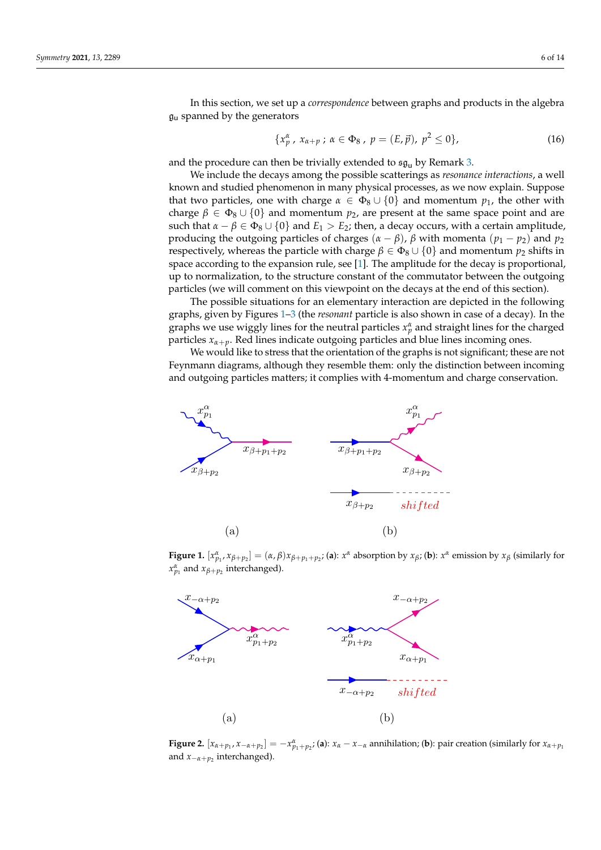In this section, we set up a *correspondence* between graphs and products in the algebra  $\mathfrak{g}_{\mathsf{u}}$  spanned by the generators and the scattering as resonance interactions, and the scatterings as  $\mathfrak{g}_{\mathsf{u}}$ 

,  $x \mapsto \alpha \cdot \beta$  ,  $y \mapsto \alpha \cdot \beta$  ,  $y \mapsto \alpha \cdot \beta$  ,  $y \mapsto \alpha \cdot \beta$  ,  $y \mapsto \alpha \cdot \beta$  ,  $y \mapsto \alpha \cdot \beta$ 

$$
\{x_p^{\alpha}, x_{\alpha+p} ; \alpha \in \Phi_8, p = (E, \vec{p}), p^2 \le 0 \},
$$
\n(16)

and the procedure can then be trivially extended to  $\mathfrak{sg}_{u}$  by Remark [3.](#page-4-1)

 ${x}$ α

we include the decays among the possible scatterings as *resonance interactions*, a well known and studied phenomenon in many physical processes, as we now explain. Suppose that two particles, one with charge  $\alpha \in \Phi_8 \cup \{0\}$  and momentum  $p_1$ , the other with charge  $\beta \in \Phi_8 \cup \{0\}$  and momentum  $p_2$ , are present at the same space point and are such that  $\alpha - \beta \in \Phi_8 \cup \{0\}$  and  $E_1 > E_2$ ; then, a decay occurs, with a certain amplitude, producing the outgoing particles of charges  $(α – β)$ ,  $β$  with momenta  $(p<sub>1</sub> – p<sub>2</sub>)$  and  $p<sub>2</sub>$ respectively, whereas the particle with charge  $β ∈ Φ<sub>8</sub> ∪ {0}$  and momentum  $p<sub>2</sub>$  shifts in space according to the expansion rule, see [\[1\]](#page-13-0). The amplitude for the decay is proportional,<br>in the normalization, to the churching sometent of the commutator between the outgoing up to normalization, to the structure constant of the commutator between the outgoing particles (we will comment on this viewpoint on the decays at the end of this section).

The possible situations for an elementary interaction are depicted in the following graphs, given by Figures 1-3 (the *resonant* part[ic](#page-6-1)le is also shown in case of a decay). In the graphs we use wiggly lines for the neutral particles  $x_p^{\alpha}$  and straight lines for the charged particles  $x_{\alpha+p}$ . Red lines indicate outgoing particles and blue lines incoming ones.

We would like to stress that the orientation of the graphs is not significant; these are not Feynmann diagrams, although they resemble them: only the distinction between incoming and outgoing particles matters; it complies with 4-momentum and charge conservation. and charge conservation.

<span id="page-5-0"></span>

**Figure 1.**  $[x_{p_1}^{\alpha}, x_{\beta+p_2}] = (\alpha, \beta)x_{\beta+p_1+p_2}$ ; (a):  $x^{\alpha}$  absorption by  $x_{\beta}$ ; (b):  $x^{\alpha}$  emission by  $x_{\beta}$  (similarly for  $x^{\alpha}$  and  $x_{\beta}$ ... interchanged)  $x_{p_1}^{\alpha}$  and  $x_{\beta+p_2}$  interchanged).



Figure 2:  $[x_{\alpha+p_1}, x_{-\alpha+p_2}] = 0$ <br>and  $x_{-\alpha+p_2}$  interchanged). **Figure 2.**  $[x_{\alpha+p_1}, x_{-\alpha+p_2}] = -x_{p_1+p_2}^{\alpha}$ ; (a):  $x_{\alpha} - x_{-\alpha}$  annihilation; (b): pair creation (similarly for  $x_{\alpha+p_1}$  and  $x_{-\alpha+p_2}$  interchanged).  $\frac{1}{2}$   $\frac{1}{2}$   $\frac{1}{2}$   $\frac{1}{2}$   $\frac{1}{2}$   $\frac{1}{2}$   $\frac{1}{2}$   $\frac{1}{2}$   $\frac{1}{2}$   $\frac{1}{2}$   $\frac{1}{2}$   $\frac{1}{2}$   $\frac{1}{2}$   $\frac{1}{2}$   $\frac{1}{2}$   $\frac{1}{2}$   $\frac{1}{2}$   $\frac{1}{2}$   $\frac{1}{2}$   $\frac{1}{2}$   $\frac{1}{2}$   $\frac{1}{2}$  and *x*<sub>−*α*+*p*<sub>2</sub> interchanged).</sub> interchanged).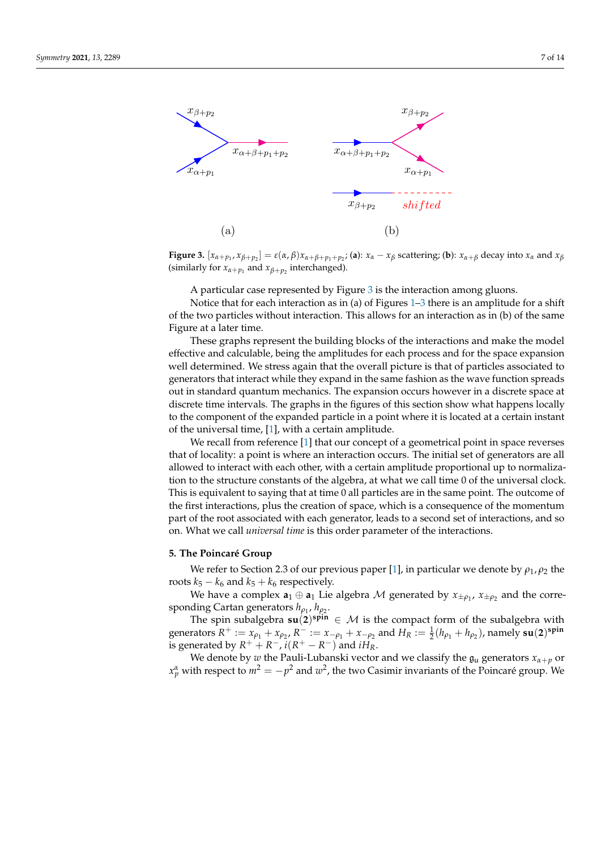<span id="page-6-1"></span>

 $\sum_{k=1}^{\infty} \sum_{k=1}^{\infty} \sum_{k=1}^{\infty} \sum_{p=1}^{\infty} \sum_{p=1}^{\infty} \sum_{k=1}^{\infty} \sum_{p=1}^{\infty} \sum_{p=1}^{\infty} \sum_{p=1}^{\infty} \sum_{p=1}^{\infty} \sum_{p=1}^{\infty} \sum_{p=1}^{\infty} \sum_{p=1}^{\infty} \sum_{p=1}^{\infty} \sum_{p=1}^{\infty} \sum_{p=1}^{\infty} \sum_{p=1}^{\infty} \sum_{p=1}^{\infty} \sum_{p$ **Figure 3.**  $[x_{\alpha+p_1}, x_{\beta+p_2}] = \varepsilon(\alpha, \beta)x_{\alpha+\beta+p_1+p_2}$ ; (a):  $x_{\alpha} - x_{\beta}$  scattering; (b):  $x_{\alpha+\beta}$  decay into  $x_{\alpha}$  and  $x_{\beta}$ <br>(similarly for  $x_{\alpha+n}$  and  $x_{\beta+n}$  interchanged) (similarly for  $x_{\alpha+p_1}$  and  $x_{\beta+p_2}$  interchanged). interchanged).

A particular case represented by Figure [3](#page-6-1) is the interaction among gluons.

Notice that for each interaction as in (a) of Figures [1](#page-5-0)[–3](#page-6-1) there is an amplitude for a shift of the two particles without interaction. This allows for an interaction as in (b) of the same Figure at a later time.

8 discrete time intervals. The graphs in the figures of this section show what happens locally These graphs represent the building blocks of the interactions and make the model effective and calculable, being the amplitudes for each process and for the space expansion well determined. We stress again that the overall picture is that of particles associated to generators that interact while they expand in the same fashion as the wave function spreads out in standard quantum mechanics. The expansion occurs however in a discrete space at to the component of the expanded particle in a point where it is located at a certain instant of the universal time, [\[1\]](#page-13-0), with a certain amplitude.

We recall from reference [\[1\]](#page-13-0) that our concept of a geometrical point in space reverses that of locality: a point is where an interaction occurs. The initial set of generators are all allowed to interact with each other, with a certain amplitude proportional up to normalization to the structure constants of the algebra, at what we call time 0 of the universal clock. This is equivalent to saying that at time 0 all particles are in the same point. The outcome of the first interactions, plus the creation of space, which is a consequence of the momentum part of the root associated with each generator, leads to a second set of interactions, and so on. What we call *universal time* is this order parameter of the interactions.

#### <span id="page-6-0"></span>**5. The Poincaré Group**

We refer to Section 2.3 of our previous paper [\[1\]](#page-13-0), in particular we denote by  $\rho_1$ ,  $\rho_2$  the roots  $k_5 - k_6$  and  $k_5 + k_6$  respectively.

We have a complex  $\mathbf{a}_1 \oplus \mathbf{a}_1$  Lie algebra  $\mathcal M$  generated by  $x_{\pm \rho_1}$ ,  $x_{\pm \rho_2}$  and the corresponding Cartan generators  $h_{\rho_1}$ ,  $h_{\rho_2}$ .

The spin subalgebra  $\mathbf{su}(2)^{\text{spin}} \in \mathcal{M}$  is the compact form of the subalgebra with generators  $R^+ := x_{\rho_1} + x_{\rho_2}$ ,  $R^- := x_{-\rho_1} + x_{-\rho_2}$  and  $H_R := \frac{1}{2}(h_{\rho_1} + h_{\rho_2})$ , namely  $su(2)^{spin}$ is generated by  $R^+ + R^-$ ,  $i(R^+ - R^-)$  and  $iH_R$ .

We denote by *w* the Pauli-Lubanski vector and we classify the  $\mathfrak{g}_u$  generators  $x_{\alpha+p}$  or  $x_p^{\alpha}$  with respect to  $m^2 = -p^2$  and  $w^2$ , the two Casimir invariants of the Poincaré group. We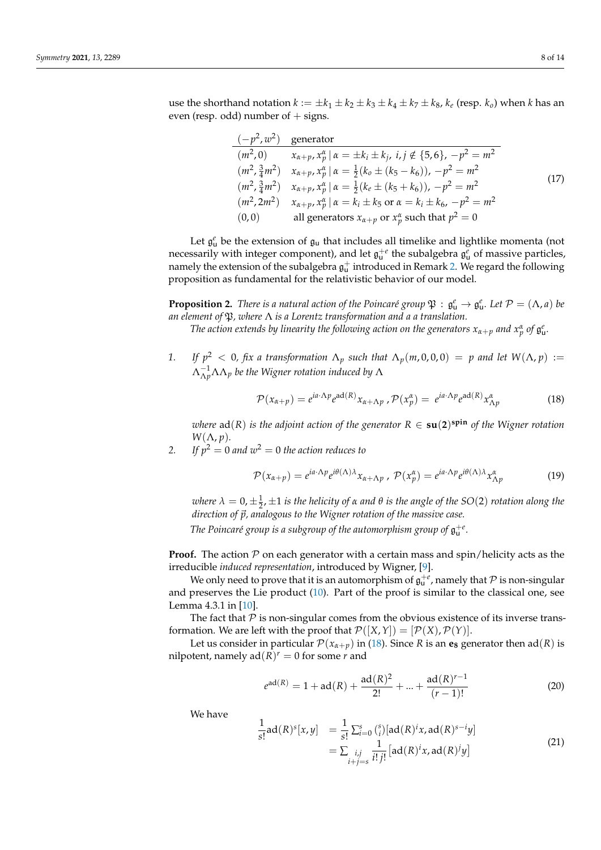use the shorthand notation  $k := \pm k_1 \pm k_2 \pm k_3 \pm k_4 \pm k_7 \pm k_8$ ,  $k_e$  (resp.  $k_o$ ) when  $k$  has an even (resp. odd) number of  $+$  signs.

$$
\frac{(-p^2, w^2)}{(m^2, 0)} \quad \text{generator} \n(m^2, 0) \qquad x_{\alpha+p}, x_p^{\alpha} | \alpha = \pm k_i \pm k_j, \ i, j \notin \{5, 6\}, -p^2 = m^2 \n(m^2, \frac{3}{4}m^2) \qquad x_{\alpha+p}, x_p^{\alpha} | \alpha = \frac{1}{2}(k_o \pm (k_5 - k_6)), -p^2 = m^2 \n(m^2, \frac{3}{4}m^2) \qquad x_{\alpha+p}, x_p^{\alpha} | \alpha = \frac{1}{2}(k_e \pm (k_5 + k_6)), -p^2 = m^2 \n(m^2, 2m^2) \qquad x_{\alpha+p}, x_p^{\alpha} | \alpha = k_i \pm k_5 \text{ or } \alpha = k_i \pm k_6, -p^2 = m^2 \n(0, 0) \qquad \text{all generators } x_{\alpha+p} \text{ or } x_p^{\alpha} \text{ such that } p^2 = 0
$$
\n(17)

Let  $\mathfrak{g}^e_\mathsf{u}$  be the extension of  $\mathfrak{g}_\mathsf{u}$  that includes all timelike and lightlike momenta (not necessarily with integer component), and let  $\mathfrak{g}_{u}^{+e}$  the subalgebra  $\mathfrak{g}_{u}^{e}$  of massive particles, namely the extension of the subalgebra  $\mathfrak{g}^+_u$  introduced in Remark [2.](#page-3-3) We regard the following proposition as fundamental for the relativistic behavior of our model.

**Proposition 2.** *There is a natural action of the Poincaré group*  $\mathfrak{P}: \mathfrak{g}_u^e \to \mathfrak{g}_u^e$ *. Let*  $\mathcal{P} = (\Lambda, a)$  *be an element of* P*, where* Λ *is a Lorentz transformation and a a translation.*

*The action extends by linearity the following action on the generators*  $x_{\alpha+p}$  *and*  $x_p^{\alpha}$  *of*  $\mathfrak{g}_u^e$ *.* 

*1. If*  $p^2 < 0$ , fix a transformation  $\Lambda_p$  such that  $\Lambda_p(m, 0, 0, 0) = p$  and let  $W(\Lambda, p) :=$ Λ −1 <sup>Λ</sup>*p*ΛΛ*<sup>p</sup> be the Wigner rotation induced by* Λ

<span id="page-7-0"></span>
$$
\mathcal{P}(x_{\alpha+p}) = e^{ia \cdot \Lambda p} e^{ad(R)} x_{\alpha+\Lambda p}, \mathcal{P}(x_p^{\alpha}) = e^{ia \cdot \Lambda p} e^{ad(R)} x_{\Lambda p}^{\alpha}
$$
(18)

 $\nu$ here  $ad(R)$  is the adjoint action of the generator  $R \in \textbf{su}(2)^{\textbf{spin}}$  of the Wigner rotation  $W(\Lambda, p)$ .

2. If  $p^2 = 0$  and  $w^2 = 0$  the action reduces to

$$
\mathcal{P}(x_{\alpha+p}) = e^{ia \cdot \Lambda p} e^{i\theta(\Lambda)\lambda} x_{\alpha+\Lambda p}, \ \mathcal{P}(x_p^{\alpha}) = e^{ia \cdot \Lambda p} e^{i\theta(\Lambda)\lambda} x_{\Lambda p}^{\alpha}
$$
 (19)

*where*  $λ = 0, ±1/2, ±1$  *is the helicity of α and*  $θ$  *is the angle of the SO*(2) *rotation along the direction of*  $\vec{p}$ *, analogous to the Wigner rotation of the massive case.* 

The Poincaré group is a subgroup of the automorphism group of  $\mathfrak{g}_{\mathrm{u}}^{+e}$  .

**Proof.** The action  $P$  on each generator with a certain mass and spin/helicity acts as the irreducible *induced representation*, introduced by Wigner, [\[9\]](#page-13-8).

We only need to prove that it is an automorphism of  $\mathfrak{g}^{+\varepsilon}_\mathsf{u}$ , namely that  ${\mathcal P}$  is non-singular and preserves the Lie product [\(10\)](#page-3-1). Part of the proof is similar to the classical one, see Lemma 4.3.1 in [\[10\]](#page-13-9).

The fact that  $P$  is non-singular comes from the obvious existence of its inverse transformation. We are left with the proof that  $\mathcal{P}([X, Y]) = [\mathcal{P}(X), \mathcal{P}(Y)].$ 

Let us consider in particular  $\mathcal{P}(x_{\alpha+p})$  in [\(18\)](#page-7-0). Since *R* is an **e**<sub>8</sub> generator then ad(*R*) is nilpotent, namely  $ad(R)^r = 0$  for some *r* and

$$
e^{ad(R)} = 1 + ad(R) + \frac{ad(R)^2}{2!} + \dots + \frac{ad(R)^{r-1}}{(r-1)!}
$$
 (20)

We have

$$
\frac{1}{s!}ad(R)^{s}[x,y] = \frac{1}{s!} \sum_{i=0}^{s} {s \choose i} [ad(R)^{i}x, ad(R)^{s-i}y] \n= \sum_{\substack{i,j \ i \neq s}} \frac{1}{i!j!} [ad(R)^{i}x, ad(R)^{j}y]
$$
\n(21)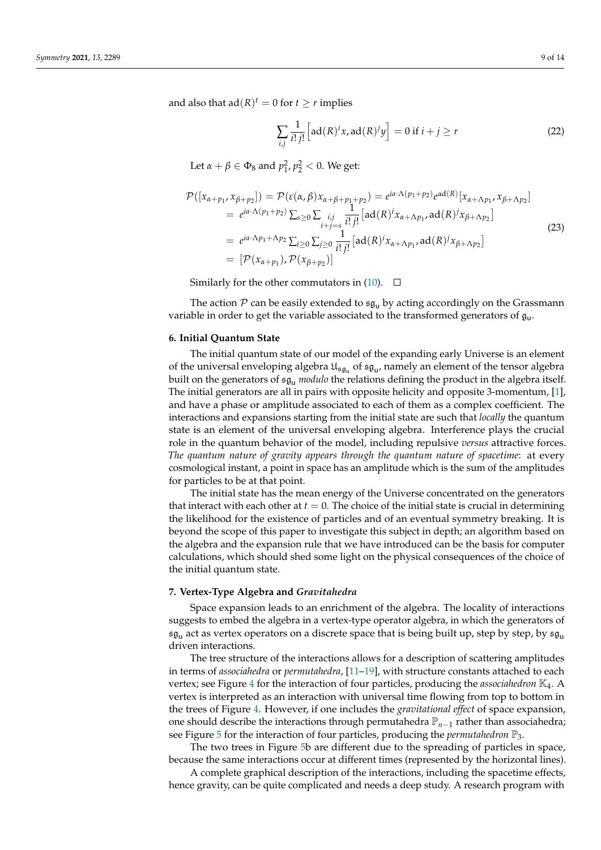and also that  $ad(R)^t = 0$  for  $t \geq r$  implies

$$
\sum_{i,j} \frac{1}{i! \, j!} \left[ ad(R)^i x, ad(R)^j y \right] = 0 \text{ if } i + j \ge r \tag{22}
$$

Let  $\alpha + \beta \in \Phi_8$  and  $p_1^2, p_2^2 < 0$ . We get:

$$
\mathcal{P}([x_{\alpha+p_1}, x_{\beta+p_2}]) = \mathcal{P}(\varepsilon(\alpha, \beta)x_{\alpha+\beta+p_1+p_2}) = e^{ia \cdot \Lambda(p_1+p_2)}e^{ad(R)}[x_{\alpha+\Lambda p_1}, x_{\beta+\Lambda p_2}]
$$
  
\n
$$
= e^{ia \cdot \Lambda(p_1+p_2)}\sum_{s\geq 0}\sum_{\substack{i,j \ i+j=s}} \frac{1}{i! \, j!} \left[ad(R)^i x_{\alpha+\Lambda p_1}, ad(R)^j x_{\beta+\Lambda p_2}\right]
$$
  
\n
$$
= e^{ia \cdot \Lambda p_1+\Lambda p_2}\sum_{i\geq 0}\sum_{j\geq 0} \frac{1}{i! \, j!} \left[ad(R)^i x_{\alpha+\Lambda p_1}, ad(R)^j x_{\beta+\Lambda p_2}\right]
$$
  
\n
$$
= [\mathcal{P}(x_{\alpha+p_1}), \mathcal{P}(x_{\beta+p_2})]
$$
\n(23)

Similarly for the other commutators in  $(10)$ .  $\Box$ 

The action  $P$  can be easily extended to  $\mathfrak{sg}_{\mathfrak{u}}$  by acting accordingly on the Grassmann variable in order to get the variable associated to the transformed generators of  $\mathfrak{g}_\mathsf{u}$ .

#### <span id="page-8-0"></span>**6. Initial Quantum State**

The initial quantum state of our model of the expanding early Universe is an element of the universal enveloping algebra  $\mathfrak{U}_{\mathfrak{sg}_\mathsf{u}}$  of  $\mathfrak{sg}_\mathsf{u}$ , namely an element of the tensor algebra built on the generators of sg<sup>u</sup> *modulo* the relations defining the product in the algebra itself. The initial generators are all in pairs with opposite helicity and opposite 3-momentum, [\[1\]](#page-13-0), and have a phase or amplitude associated to each of them as a complex coefficient. The interactions and expansions starting from the initial state are such that *locally* the quantum state is an element of the universal enveloping algebra. Interference plays the crucial role in the quantum behavior of the model, including repulsive *versus* attractive forces. *The quantum nature of gravity appears through the quantum nature of spacetime*: at every cosmological instant, a point in space has an amplitude which is the sum of the amplitudes for particles to be at that point.

The initial state has the mean energy of the Universe concentrated on the generators that interact with each other at  $t = 0$ . The choice of the initial state is crucial in determining the likelihood for the existence of particles and of an eventual symmetry breaking. It is beyond the scope of this paper to investigate this subject in depth; an algorithm based on the algebra and the expansion rule that we have introduced can be the basis for computer calculations, which should shed some light on the physical consequences of the choice of the initial quantum state.

#### <span id="page-8-1"></span>**7. Vertex-Type Algebra and** *Gravitahedra*

Space expansion leads to an enrichment of the algebra. The locality of interactions suggests to embed the algebra in a vertex-type operator algebra, in which the generators of  $\mathfrak{sg}_u$  act as vertex operators on a discrete space that is being built up, step by step, by  $\mathfrak{sg}_u$ driven interactions.

The tree structure of the interactions allows for a description of scattering amplitudes in terms of *associahedra* or *permutahedra*, [\[11–](#page-13-10)[19\]](#page-13-11), with structure constants attached to each vertex; see Figure [4](#page-9-0) for the interaction of four particles, producing the *associahedron* K4. A vertex is interpreted as an interaction with universal time flowing from top to bottom in the trees of Figure [4.](#page-9-0) However, if one includes the *gravitational effect* of space expansion, one should describe the interactions through permutahedra P*n*−<sup>1</sup> rather than associahedra; see Figure [5](#page-9-1) for the interaction of four particles, producing the *permutahedron* P3.

The two trees in Figure [5b](#page-9-1) are different due to the spreading of particles in space, because the same interactions occur at different times (represented by the horizontal lines).

A complete graphical description of the interactions, including the spacetime effects, hence gravity, can be quite complicated and needs a deep study. A research program with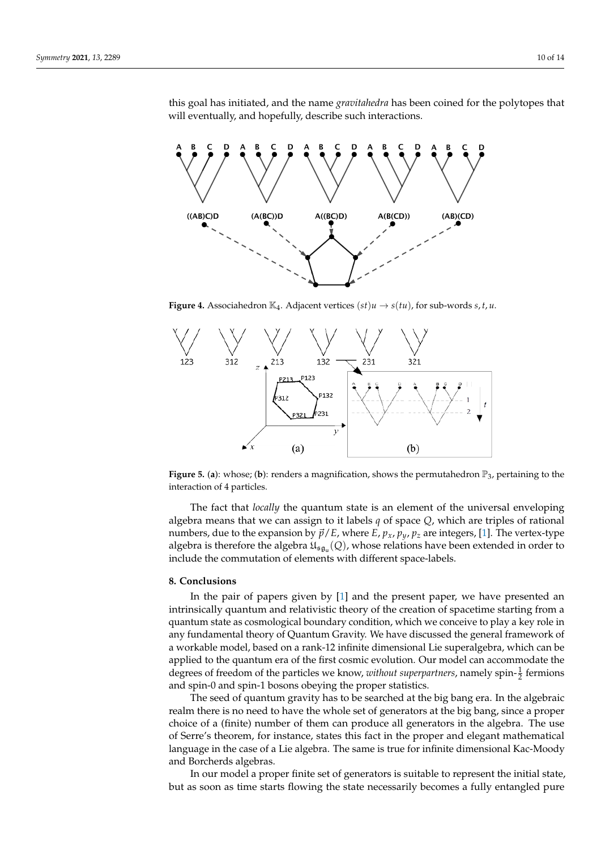thi

<span id="page-9-0"></span>

will eventually, and hopefully, describe such interactions.

<span id="page-9-1"></span>**Figure 4.** Associahedron  $\mathbb{K}_4$ . Adjacent vertices  $(st)u \rightarrow s(tu)$ , for sub-words *s*, *t*, *u*.



**Figure 5.** (a): whose; (b): renders a magnification, shows the permutahedron  $\mathbb{P}_3$ , pertaining to the interaction of 4 particles.

The fact that *locally* the quantum state is an element of the universal enveloping algebra means that we can assign to it labels  $q$  of space  $Q$ , which are triples of rational numbers, due to the expansion by  $\vec{p}/E$ , where  $E$ ,  $p_x$ ,  $p_y$ ,  $p_z$  are integers, [\[1\]](#page-13-0). The vertex-type algebra is therefore the algebra  $\mathfrak{U}_{\mathfrak{su}_\mathfrak{g_u}}(Q)$ , whose relations have been extended in order to  $\sigma$ include the commutation of elements with different space-labels.

# rational numbers, due to the expansion by ~p/E, where E, px, py, p<sup>z</sup> are integers, [1]. **8. Conclusions**

In the pair of papers given by  $[1]$  and the present paper we have In the pair of papers given by [\[1\]](#page-13-0) and the present paper, we have presented an A Conclusion Conclusion Conclusion Conclusion Conclusion Conclusion Conclusion Concept and Concept and Section Concept and Section Concept and Section Concept and Section Concept and Section Concept and Section Concept and In the paper of paper of paper of paper paper and the present paper of present paper and the present paper of paper and inapplied to the quantum era of the first cosmic evolution. Our model can accommodate the degrees of freedom of the particles we know, *without superpartners*, namely spin- $\frac{1}{2}$  fermions and spin-0 and spin-1 bosons obeying the proper statistics. intrinsically quantum and relativistic theory of the creation of spacetime starting from a quantum state as cosmological boundary condition, which we conceive to play a key role in a workable model, based on a rank-12 infinite dimensional Lie superalgebra, which can be

The seed of quantum gravity has to be searched at the big bang era. In the algebraic realm there is no need to have the whole set of generators at the big bang, since a proper choice of a (finite) number of them can produce all generators in the algebra. The use of Serre's theorem, for instance, states this fact in the proper and elegant mathematical language in the case of a Lie algebra. The same is true for infinite dimensional Kac-Moody and Borcherds algebras.

In our model a proper finite set of generators is suitable to represent the initial state, but as soon as time starts flowing the state necessarily becomes a fully entangled pure since a proper choice of a (finite) number of them can produce all generators in the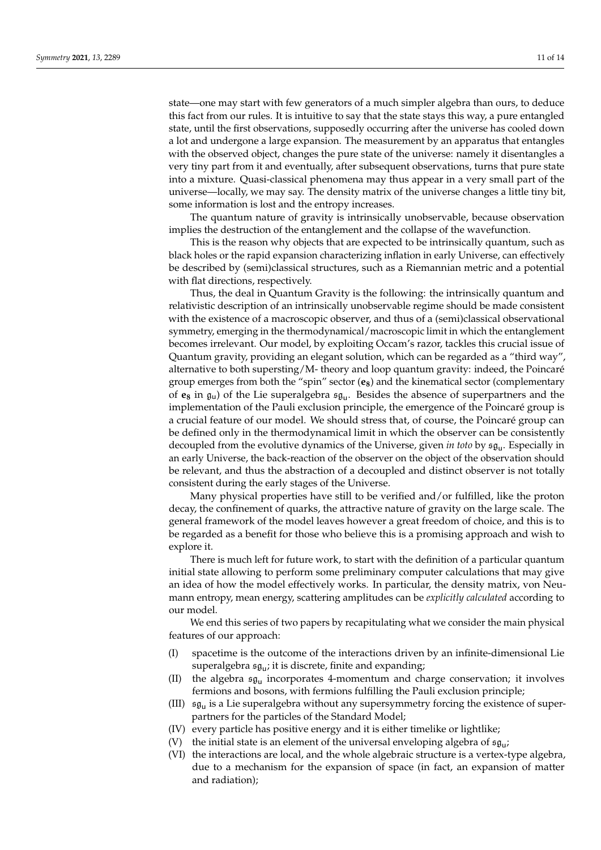state—one may start with few generators of a much simpler algebra than ours, to deduce this fact from our rules. It is intuitive to say that the state stays this way, a pure entangled state, until the first observations, supposedly occurring after the universe has cooled down a lot and undergone a large expansion. The measurement by an apparatus that entangles with the observed object, changes the pure state of the universe: namely it disentangles a very tiny part from it and eventually, after subsequent observations, turns that pure state into a mixture. Quasi-classical phenomena may thus appear in a very small part of the universe—locally, we may say. The density matrix of the universe changes a little tiny bit, some information is lost and the entropy increases.

The quantum nature of gravity is intrinsically unobservable, because observation implies the destruction of the entanglement and the collapse of the wavefunction.

This is the reason why objects that are expected to be intrinsically quantum, such as black holes or the rapid expansion characterizing inflation in early Universe, can effectively be described by (semi)classical structures, such as a Riemannian metric and a potential with flat directions, respectively.

Thus, the deal in Quantum Gravity is the following: the intrinsically quantum and relativistic description of an intrinsically unobservable regime should be made consistent with the existence of a macroscopic observer, and thus of a (semi)classical observational symmetry, emerging in the thermodynamical/macroscopic limit in which the entanglement becomes irrelevant. Our model, by exploiting Occam's razor, tackles this crucial issue of Quantum gravity, providing an elegant solution, which can be regarded as a "third way", alternative to both supersting/M- theory and loop quantum gravity: indeed, the Poincaré group emerges from both the "spin" sector (**e8**) and the kinematical sector (complementary of **e<sup>8</sup>** in gu) of the Lie superalgebra sg<sup>u</sup> . Besides the absence of superpartners and the implementation of the Pauli exclusion principle, the emergence of the Poincaré group is a crucial feature of our model. We should stress that, of course, the Poincaré group can be defined only in the thermodynamical limit in which the observer can be consistently decoupled from the evolutive dynamics of the Universe, given *in toto* by sg<sup>u</sup> . Especially in an early Universe, the back-reaction of the observer on the object of the observation should be relevant, and thus the abstraction of a decoupled and distinct observer is not totally consistent during the early stages of the Universe.

Many physical properties have still to be verified and/or fulfilled, like the proton decay, the confinement of quarks, the attractive nature of gravity on the large scale. The general framework of the model leaves however a great freedom of choice, and this is to be regarded as a benefit for those who believe this is a promising approach and wish to explore it.

There is much left for future work, to start with the definition of a particular quantum initial state allowing to perform some preliminary computer calculations that may give an idea of how the model effectively works. In particular, the density matrix, von Neumann entropy, mean energy, scattering amplitudes can be *explicitly calculated* according to our model.

We end this series of two papers by recapitulating what we consider the main physical features of our approach:

- (I) spacetime is the outcome of the interactions driven by an infinite-dimensional Lie superalgebra sg<sup>u</sup> ; it is discrete, finite and expanding;
- (II) the algebra  $\mathfrak{sg}_u$  incorporates 4-momentum and charge conservation; it involves fermions and bosons, with fermions fulfilling the Pauli exclusion principle;
- (III)  $\mathfrak{sg}_u$  is a Lie superalgebra without any supersymmetry forcing the existence of superpartners for the particles of the Standard Model;
- (IV) every particle has positive energy and it is either timelike or lightlike;
- (V) the initial state is an element of the universal enveloping algebra of  $\mathfrak{sg}_u$ ;
- (VI) the interactions are local, and the whole algebraic structure is a vertex-type algebra, due to a mechanism for the expansion of space (in fact, an expansion of matter and radiation);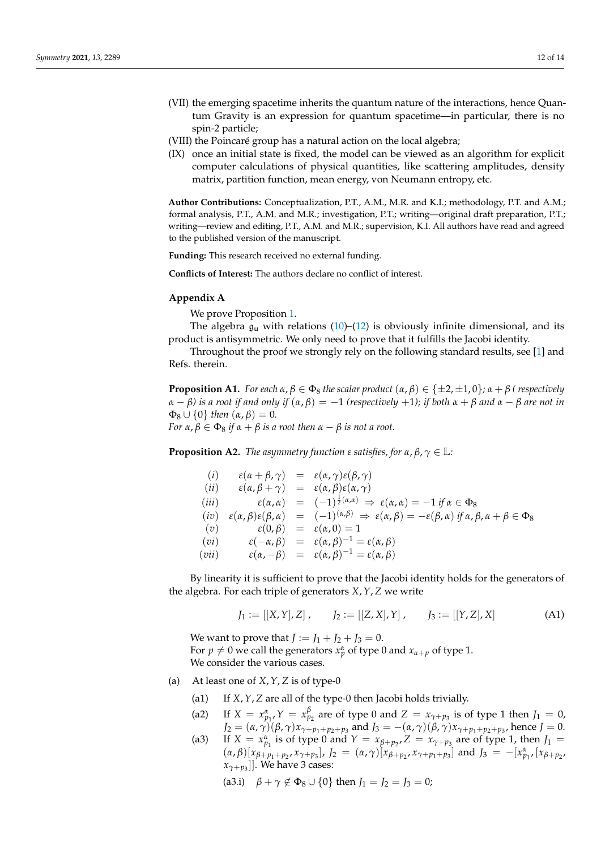- (VII) the emerging spacetime inherits the quantum nature of the interactions, hence Quantum Gravity is an expression for quantum spacetime—in particular, there is no spin-2 particle;
- (VIII) the Poincaré group has a natural action on the local algebra;
- (IX) once an initial state is fixed, the model can be viewed as an algorithm for explicit computer calculations of physical quantities, like scattering amplitudes, density matrix, partition function, mean energy, von Neumann entropy, etc.

**Author Contributions:** Conceptualization, P.T., A.M., M.R. and K.I.; methodology, P.T. and A.M.; formal analysis, P.T., A.M. and M.R.; investigation, P.T.; writing—original draft preparation, P.T.; writing—review and editing, P.T., A.M. and M.R.; supervision, K.I. All authors have read and agreed to the published version of the manuscript.

**Funding:** This research received no external funding.

**Conflicts of Interest:** The authors declare no conflict of interest.

## <span id="page-11-0"></span>**Appendix A**

We prove Proposition [1.](#page-3-4)

The algebra  $g_u$  with relations [\(10\)](#page-3-1)–[\(12\)](#page-3-2) is obviously infinite dimensional, and its product is antisymmetric. We only need to prove that it fulfills the Jacobi identity.

Throughout the proof we strongly rely on the following standard results, see [\[1\]](#page-13-0) and Refs. therein.

**Proposition A1.** For each  $\alpha, \beta \in \Phi_8$  the scalar product  $(\alpha, \beta) \in \{\pm 2, \pm 1, 0\}$ ;  $\alpha + \beta$  (respectively *α* − *β) is a root if and only if* (*α*, *β*) = −1 *(respectively* +1*); if both α* + *β and α* − *β are not in*  $\Phi_8 \cup \{0\}$  *then*  $(\alpha, \beta) = 0$ *. For*  $\alpha$ ,  $\beta \in \Phi_8$  *if*  $\alpha + \beta$  *is a root then*  $\alpha - \beta$  *is not a root.* 

<span id="page-11-1"></span>**Proposition A2.** *The asymmetry function*  $\varepsilon$  *satisfies, for*  $\alpha$ ,  $\beta$ ,  $\gamma \in \mathbb{L}$ *:* 

(i) 
$$
\varepsilon(\alpha + \beta, \gamma) = \varepsilon(\alpha, \gamma)\varepsilon(\beta, \gamma)
$$
  
\n(ii)  $\varepsilon(\alpha, \beta + \gamma) = \varepsilon(\alpha, \beta)\varepsilon(\alpha, \gamma)$   
\n(iii)  $\varepsilon(\alpha, \alpha) = (-1)^{\frac{1}{2}(\alpha, \alpha)} \Rightarrow \varepsilon(\alpha, \alpha) = -1 \text{ if } \alpha \in \Phi_8$   
\n(iv)  $\varepsilon(\alpha, \beta)\varepsilon(\beta, \alpha) = (-1)^{(\alpha, \beta)} \Rightarrow \varepsilon(\alpha, \beta) = -\varepsilon(\beta, \alpha) \text{ if } \alpha, \beta, \alpha + \beta \in \Phi_8$   
\n(v)  $\varepsilon(0, \beta) = \varepsilon(\alpha, 0) = 1$   
\n(vi)  $\varepsilon(-\alpha, \beta) = \varepsilon(\alpha, \beta)^{-1} = \varepsilon(\alpha, \beta)$   
\n(vii)  $\varepsilon(\alpha, -\beta) = \varepsilon(\alpha, \beta)^{-1} = \varepsilon(\alpha, \beta)$ 

By linearity it is sufficient to prove that the Jacobi identity holds for the generators of the algebra. For each triple of generators *X*,*Y*, *Z* we write

$$
J_1 := [[X, Y], Z], \qquad J_2 := [[Z, X], Y], \qquad J_3 := [[Y, Z], X]
$$
 (A1)

We want to prove that  $J := J_1 + J_2 + J_3 = 0$ . For  $p \neq 0$  we call the generators  $x_p^{\alpha}$  of type 0 and  $x_{\alpha+p}$  of type 1. We consider the various cases.

- (a) At least one of *X*,*Y*, *Z* is of type-0
	- (a1) If *X*,*Y*, *Z* are all of the type-0 then Jacobi holds trivially.
	- (a2) If  $X = x_{p_1}^{\alpha}, Y = x_{p_2}^{\beta}$  are of type 0 and  $Z = x_{\gamma+p_3}$  is of type 1 then  $J_1 = 0$ , *J*<sub>2</sub> = (*α*, *γ*)(*β*, *γ*)*x*<sub>*γ*+*p*<sub>1</sub>+*p*<sub>2</sub>+*p*<sub>3</sub></sub> and *J*<sub>3</sub> = -(*α*, *γ*)(*β*, *γ*)*x*<sub>*γ*+*p*<sub>1</sub>+*p*<sub>2</sub>+*p*<sub>3</sub></sub>, hence *J* = 0.
	- (a3) If  $X = x_{p_1}^{\alpha}$  is of type 0 and  $Y = x_{p_1+p_2}$ ,  $Z = x_{\gamma+p_3}$  are of type 1, then  $J_1 =$  $(\alpha, \beta) [x_{\beta+p_1+p_2}, x_{\gamma+p_3}], J_2 = (\alpha, \gamma) [x_{\beta+p_2}, x_{\gamma+p_1+p_3}]$  and  $J_3 = -[x_{p_1}^{\alpha}, [x_{\beta+p_2}, x_{\gamma+p_3}]]$ *xγ*+*p*<sup>3</sup> ]]. We have 3 cases:

(a3.i)  $\beta + \gamma \notin \Phi_8 \cup \{0\}$  then  $J_1 = J_2 = J_3 = 0;$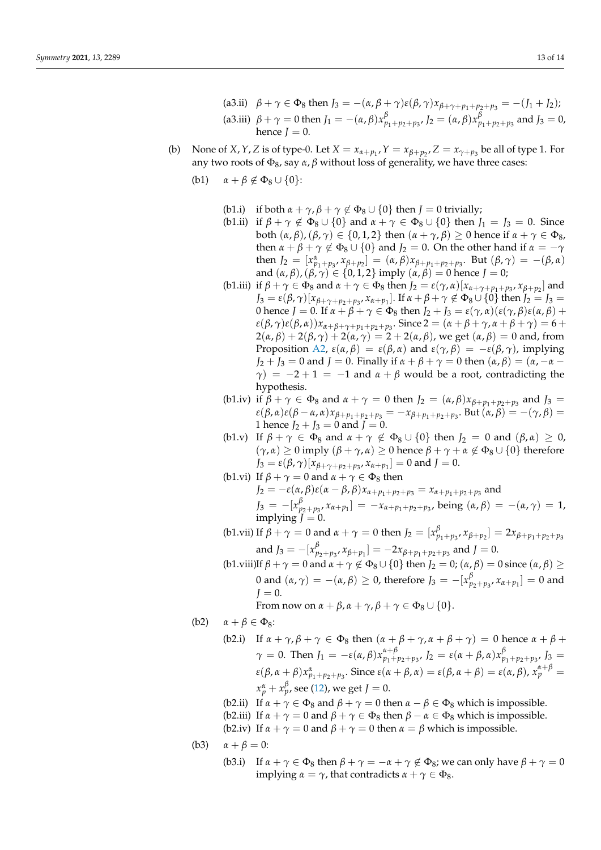- (a3.ii)  $β + γ ∈ Φ_8$  then  $J_3 = -(α, β + γ)ε(β, γ)x_{β + γ + p_1 + p_2 + p_3} = -(J_1 + J_2);$ (a3.iii)  $\beta + \gamma = 0$  then  $J_1 = -(\alpha, \beta)x_{p_1+p_2+p_3}^{\beta}, J_2 = (\alpha, \beta)x_{p_1+p_2+p_3}^{\beta}$  and  $J_3 = 0$ , hence *.*
- (b) None of *X*, *Y*, *Z* is of type-0. Let  $X = x_{\alpha+p_1}$ ,  $Y = x_{\beta+p_2}$ ,  $Z = x_{\gamma+p_3}$  be all of type 1. For any two roots of  $Φ_8$ , say *α*, *β* without loss of generality, we have three cases:
	- (b1)  $\alpha + \beta \notin \Phi_8 \cup \{0\}$ :
		- (b1.i) if both  $\alpha + \gamma$ ,  $\beta + \gamma \notin \Phi_8 \cup \{0\}$  then  $J = 0$  trivially;
		- (b1.ii) if  $\beta + \gamma \notin \Phi_8 \cup \{0\}$  and  $\alpha + \gamma \in \Phi_8 \cup \{0\}$  then  $J_1 = J_3 = 0$ . Since both  $(α, β)$ ,  $(β, γ) ∈ {0, 1, 2}$  then  $(α + γ, β) ≥ 0$  hence if  $α + γ ∈ Φ_8$ , then  $\alpha + \beta + \gamma \notin \Phi_8 \cup \{0\}$  and  $J_2 = 0$ . On the other hand if  $\alpha = -\gamma$ then  $J_2 = [x_{p_1+p_3}^{\alpha}, x_{\beta+p_2}] = (\alpha, \beta)x_{\beta+p_1+p_2+p_3}$ . But  $(\beta, \gamma) = -(\beta, \alpha)$ and  $(\alpha, \beta), (\beta, \gamma) \in \{0, 1, 2\}$  imply  $(\alpha, \beta) = 0$  hence  $J = 0$ ;
		- (b1.iii) if  $\beta + \gamma \in \Phi_8$  and  $\alpha + \gamma \in \Phi_8$  then  $J_2 = \varepsilon(\gamma, \alpha) [x_{\alpha + \gamma + p_1 + p_3}, x_{\beta + p_2}]$  and *J*<sub>3</sub> = *ε*(*β*, *γ*)[ $x_{\beta+\gamma+p_2+p_3}$ ,  $x_{\alpha+p_1}$ ]. If  $\alpha+\beta+\gamma \notin \Phi_8 \cup \{0\}$  then *J*<sub>2</sub> = *J*<sub>3</sub> = 0 hence  $J = 0$ . If  $\alpha + \beta + \gamma \in \Phi_8$  then  $J_2 + J_3 = \varepsilon(\gamma, \alpha)(\varepsilon(\gamma, \beta)\varepsilon(\alpha, \beta) +$ *ε*(*β*, *γ*)*ε*(*β*, *α*))*x*<sub>*α*+*β*+*γ*+*p*<sub>1</sub>+*p*<sub>2</sub>+*p*<sub>3</sub></sub>. Since 2 = (*α* + *β* + *γ*, *α* + *β* + *γ*) = 6 +  $2(\alpha, \beta) + 2(\beta, \gamma) + 2(\alpha, \gamma) = 2 + 2(\alpha, \beta)$ , we get  $(\alpha, \beta) = 0$  and, from Proposition [A2,](#page-11-1)  $\varepsilon(\alpha, \beta) = \varepsilon(\beta, \alpha)$  and  $\varepsilon(\gamma, \beta) = -\varepsilon(\beta, \gamma)$ , implying *J*<sub>2</sub> + *J*<sub>3</sub> = 0 and *J* = 0. Finally if  $\alpha + \beta + \gamma = 0$  then  $(\alpha, \beta) = (\alpha, -\alpha - \beta)$ *γ*) =  $-2+1$  =  $-1$  and  $\alpha + \beta$  would be a root, contradicting the hypothesis.
		- (b1.iv) if  $\beta + \gamma \in \Phi_8$  and  $\alpha + \gamma = 0$  then  $J_2 = (\alpha, \beta)x_{\beta + p_1 + p_2 + p_3}$  and  $J_3 =$ *ε*(*β*, *α*)*ε*(*β* − *α*, *α*)*xβ*+*p*1+*p*2+*p*<sup>3</sup> = −*xβ*+*p*1+*p*2+*p*<sup>3</sup> . But (*α*, *β*) = −(*γ*, *β*) = 1 hence  $J_2 + J_3 = 0$  and  $J = 0$ .
		- (b1.v) If  $\beta + \gamma \in \Phi_8$  and  $\alpha + \gamma \notin \Phi_8 \cup \{0\}$  then  $J_2 = 0$  and  $(\beta, \alpha) \geq 0$ ,  $(\gamma, \alpha) \geq 0$  imply  $(\beta + \gamma, \alpha) \geq 0$  hence  $\beta + \gamma + \alpha \notin \Phi_8 \cup \{0\}$  therefore *J*<sub>3</sub> = *ε*(*β*,  $\gamma$ )[ $x_{\beta+\gamma+p_2+p_3}$ ,  $x_{\alpha+p_1}$ ] = 0 and *J* = 0.
		- (b1.vi) If  $\beta + \gamma = 0$  and  $\alpha + \gamma \in \Phi_8$  then *J*<sub>2</sub> =  $-\varepsilon$ (*α*, *β*)*ε*(*α* − *β*, *β*)*x*<sub>*α*+*p*<sub>1</sub>+*p*<sub>2</sub>+*p*<sub>3</sub></sub> = *x*<sub>*α*+*p*<sub>1</sub>+*p*<sub>2</sub>+*p*<sub>3</sub></sub> and *J*<sub>3</sub> =  $-[x_{p_2+p_3}^{\beta}, x_{\alpha+p_1}] = -x_{\alpha+p_1+p_2+p_3}$ , being  $(α, β) = -(α, γ) = 1$ ,  $implying \dot{J} = 0.$
		- (b1.vii) If  $\beta + \gamma = 0$  and  $\alpha + \gamma = 0$  then  $J_2 = [x_{p_1+p_3}^{\beta}, x_{\beta+p_2}] = 2x_{\beta+p_1+p_2+p_3}$ and  $J_3 = -[x_{p_2+p_3}^{\beta}, x_{\beta+p_1}] = -2x_{\beta+p_1+p_2+p_3}$  and  $J = 0$ .
		- (b1.viii)If  $\beta + \gamma = 0$  and  $\alpha + \gamma \notin \Phi_8 \cup \{0\}$  then  $J_2 = 0$ ;  $(\alpha, \beta) = 0$  since  $(\alpha, \beta) \ge$ 0 and  $(α, γ) = -(α, β) ≥ 0$ , therefore  $J_3 = -[x_{p_2+p_3}^β, x_{α+p_1}] = 0$  and  $J = 0$ . From now on  $\alpha + \beta$ ,  $\alpha + \gamma$ ,  $\beta + \gamma \in \Phi_8 \cup \{0\}$ .
	- (b2)  $\alpha + \beta \in \Phi_8$ :
		- (b2.i) If  $\alpha + \gamma$ ,  $\beta + \gamma \in \Phi_8$  then  $(\alpha + \beta + \gamma, \alpha + \beta + \gamma) = 0$  hence  $\alpha + \beta + \gamma$ *γ* = 0. Then  $J_1 = -\varepsilon(\alpha, \beta)x_{p_1+}^{\alpha+\beta}$ *α*+*β*  $p_1+p_2+p_3$ ,  $J_2 = ε(α + β, α)x_{p_1+p_2+p_3}^β$ ,  $J_3 =$  $\varepsilon(\beta, \alpha + \beta)x_{p_1+p_2+p_3}^{\alpha}$ . Since  $\varepsilon(\alpha + \beta, \alpha) = \varepsilon(\beta, \alpha + \beta) = \varepsilon(\alpha, \beta)$ ,  $x_p^{\alpha+\beta} =$  $x_p^{\alpha} + x_p^{\beta}$ , see [\(12\)](#page-3-2), we get  $J = 0$ .
		- (b2.ii) If  $\alpha + \gamma \in \Phi_8$  and  $\beta + \gamma = 0$  then  $\alpha \beta \in \Phi_8$  which is impossible.
		- (b2.iii) If  $\alpha + \gamma = 0$  and  $\beta + \gamma \in \Phi_8$  then  $\beta \alpha \in \Phi_8$  which is impossible.
		- (b2.iv) If  $\alpha + \gamma = 0$  and  $\beta + \gamma = 0$  then  $\alpha = \beta$  which is impossible.
	- (b3)  $\alpha + \beta = 0$ :
		- (b3.i) If  $\alpha + \gamma \in \Phi_8$  then  $\beta + \gamma = -\alpha + \gamma \notin \Phi_8$ ; we can only have  $\beta + \gamma = 0$ implying  $\alpha = \gamma$ , that contradicts  $\alpha + \gamma \in \Phi_8$ .